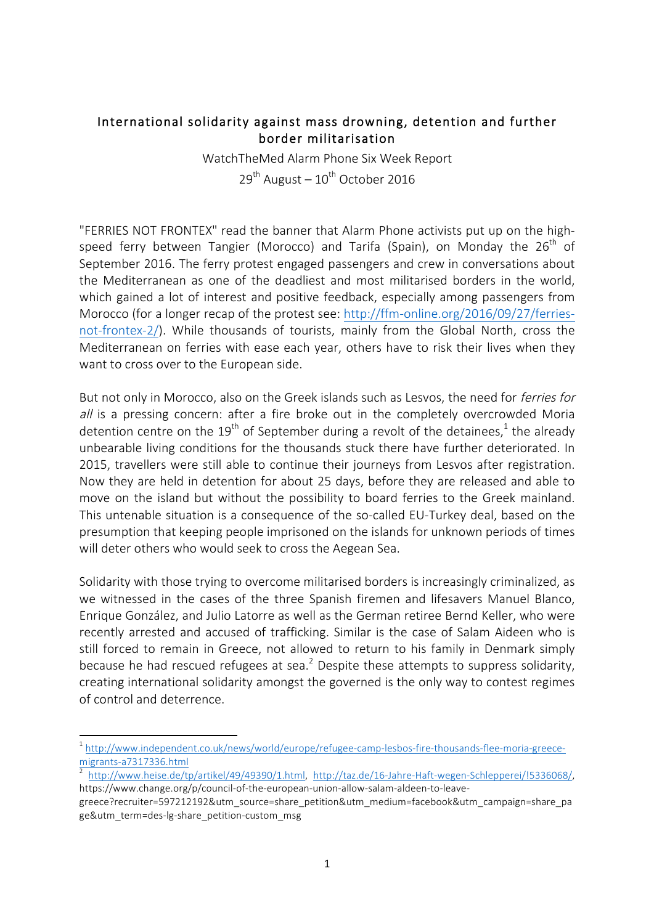## International solidarity against mass drowning, detention and further border militarisation

WatchTheMed Alarm Phone Six Week Report  $29<sup>th</sup>$  August –  $10<sup>th</sup>$  October 2016

"FERRIES NOT FRONTEX" read the banner that Alarm Phone activists put up on the highspeed ferry between Tangier (Morocco) and Tarifa (Spain), on Monday the  $26<sup>th</sup>$  of September 2016. The ferry protest engaged passengers and crew in conversations about the Mediterranean as one of the deadliest and most militarised borders in the world, which gained a lot of interest and positive feedback, especially among passengers from Morocco (for a longer recap of the protest see: http://ffm-online.org/2016/09/27/ferriesnot-frontex-2/). While thousands of tourists, mainly from the Global North, cross the Mediterranean on ferries with ease each year, others have to risk their lives when they want to cross over to the European side.

But not only in Morocco, also on the Greek islands such as Lesvos, the need for *ferries for* all is a pressing concern: after a fire broke out in the completely overcrowded Moria detention centre on the 19<sup>th</sup> of September during a revolt of the detainees,<sup>1</sup> the already unbearable living conditions for the thousands stuck there have further deteriorated. In 2015, travellers were still able to continue their journeys from Lesvos after registration. Now they are held in detention for about 25 days, before they are released and able to move on the island but without the possibility to board ferries to the Greek mainland. This untenable situation is a consequence of the so-called EU-Turkey deal, based on the presumption that keeping people imprisoned on the islands for unknown periods of times will deter others who would seek to cross the Aegean Sea.

Solidarity with those trying to overcome militarised borders is increasingly criminalized, as we witnessed in the cases of the three Spanish firemen and lifesavers Manuel Blanco, Enrique González, and Julio Latorre as well as the German retiree Bernd Keller, who were recently arrested and accused of trafficking. Similar is the case of Salam Aideen who is still forced to remain in Greece, not allowed to return to his family in Denmark simply because he had rescued refugees at sea. $<sup>2</sup>$  Despite these attempts to suppress solidarity,</sup> creating international solidarity amongst the governed is the only way to contest regimes of control and deterrence.

<u> 1989 - Jan Samuel Barbara, margaret e</u>

<sup>&</sup>lt;sup>1</sup> http://www.independent.co.uk/news/world/europe/refugee-camp-lesbos-fire-thousands-flee-moria-greece-<br>migrants-a7317336.html

 $^2$  http://www.heise.de/tp/artikel/49/49390/1.html, http://taz.de/16-Jahre-Haft-wegen-Schlepperei/!5336068/, https://www.change.org/p/council-of-the-european-union-allow-salam-aldeen-to-leave-

greece?recruiter=597212192&utm\_source=share\_petition&utm\_medium=facebook&utm\_campaign=share\_pa ge&utm\_term=des-lg-share\_petition-custom\_msg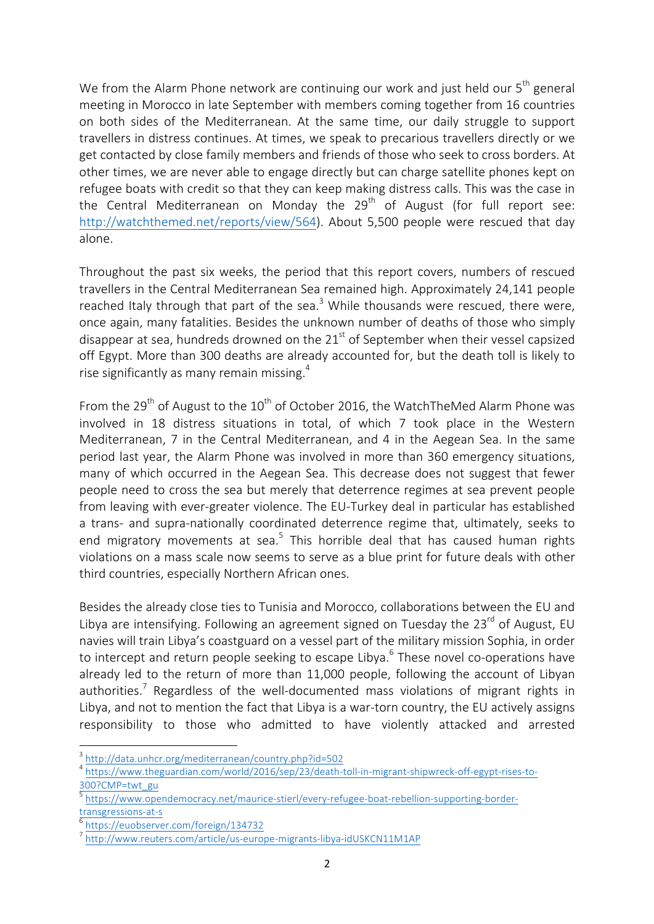We from the Alarm Phone network are continuing our work and just held our  $5<sup>th</sup>$  general meeting in Morocco in late September with members coming together from 16 countries on both sides of the Mediterranean. At the same time, our daily struggle to support travellers in distress continues. At times, we speak to precarious travellers directly or we get contacted by close family members and friends of those who seek to cross borders. At other times, we are never able to engage directly but can charge satellite phones kept on refugee boats with credit so that they can keep making distress calls. This was the case in the Central Mediterranean on Monday the  $29<sup>th</sup>$  of August (for full report see: http://watchthemed.net/reports/view/564). About 5,500 people were rescued that day alone.

Throughout the past six weeks, the period that this report covers, numbers of rescued travellers in the Central Mediterranean Sea remained high. Approximately 24,141 people reached Italy through that part of the sea.<sup>3</sup> While thousands were rescued, there were, once again, many fatalities. Besides the unknown number of deaths of those who simply disappear at sea, hundreds drowned on the  $21<sup>st</sup>$  of September when their vessel capsized off Egypt. More than 300 deaths are already accounted for, but the death toll is likely to rise significantly as many remain missing. $4$ 

From the 29<sup>th</sup> of August to the 10<sup>th</sup> of October 2016, the WatchTheMed Alarm Phone was involved in 18 distress situations in total, of which 7 took place in the Western Mediterranean, 7 in the Central Mediterranean, and 4 in the Aegean Sea. In the same period last year, the Alarm Phone was involved in more than 360 emergency situations, many of which occurred in the Aegean Sea. This decrease does not suggest that fewer people need to cross the sea but merely that deterrence regimes at sea prevent people from leaving with ever-greater violence. The EU-Turkey deal in particular has established a trans- and supra-nationally coordinated deterrence regime that, ultimately, seeks to end migratory movements at sea.<sup>5</sup> This horrible deal that has caused human rights violations on a mass scale now seems to serve as a blue print for future deals with other third countries, especially Northern African ones.

Besides the already close ties to Tunisia and Morocco, collaborations between the EU and Libya are intensifying. Following an agreement signed on Tuesday the 23 $^{rd}$  of August, EU navies will train Libya's coastguard on a vessel part of the military mission Sophia, in order to intercept and return people seeking to escape Libya.<sup>6</sup> These novel co-operations have already led to the return of more than 11,000 people, following the account of Libyan authorities.<sup>7</sup> Regardless of the well-documented mass violations of migrant rights in Libya, and not to mention the fact that Libya is a war-torn country, the EU actively assigns responsibility to those who admitted to have violently attacked and arrested

<u> 1989 - Jan Samuel Barbara, margaret e</u>

<sup>3</sup> http://data.unhcr.org/mediterranean/country.php?id=502

<sup>4</sup> https://www.theguardian.com/world/2016/sep/23/death-toll-in-migrant-shipwreck-off-egypt-rises-to-300?CMP=twt\_gu

<sup>5</sup> https://www.opendemocracy.net/maurice-stierl/every-refugee-boat-rebellion-supporting-bordertransgressions-at-s<br><sup>6</sup> https://euobserver.com/foreign/134732

<sup>7</sup> http://www.reuters.com/article/us-europe-migrants-libya-idUSKCN11M1AP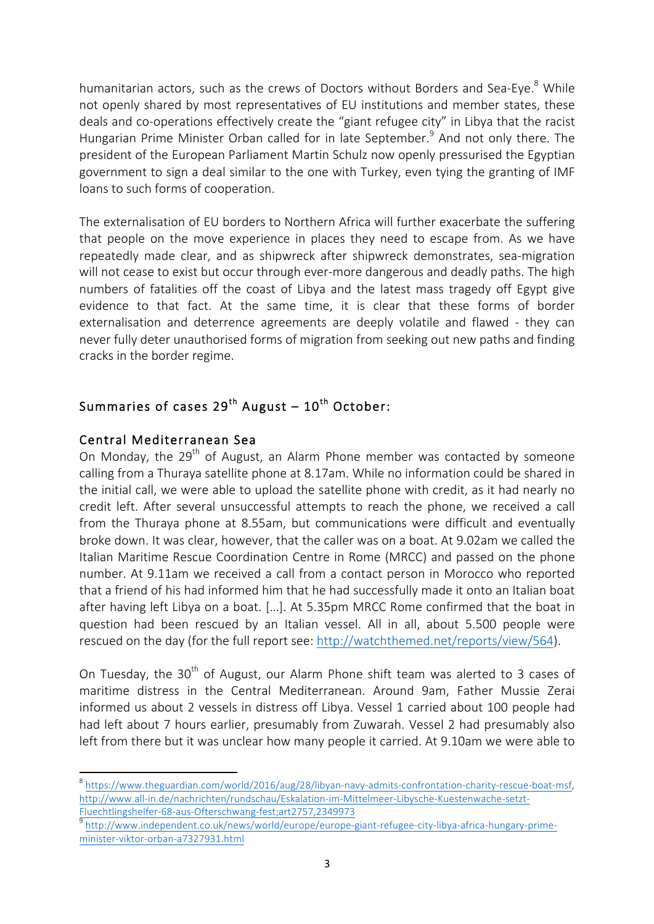humanitarian actors, such as the crews of Doctors without Borders and Sea-Eye.<sup>8</sup> While not openly shared by most representatives of EU institutions and member states, these deals and co-operations effectively create the "giant refugee city" in Libya that the racist Hungarian Prime Minister Orban called for in late September.<sup>9</sup> And not only there. The president of the European Parliament Martin Schulz now openly pressurised the Egyptian government to sign a deal similar to the one with Turkey, even tying the granting of IMF loans to such forms of cooperation.

The externalisation of EU borders to Northern Africa will further exacerbate the suffering that people on the move experience in places they need to escape from. As we have repeatedly made clear, and as shipwreck after shipwreck demonstrates, sea-migration will not cease to exist but occur through ever-more dangerous and deadly paths. The high numbers of fatalities off the coast of Libya and the latest mass tragedy off Egypt give evidence to that fact. At the same time, it is clear that these forms of border externalisation and deterrence agreements are deeply volatile and flawed - they can never fully deter unauthorised forms of migration from seeking out new paths and finding cracks in the border regime.

# Summaries of cases  $29^{th}$  August –  $10^{th}$  October:

## Central Mediterranean Sea

<u> 1989 - Jan Samuel Barbara, margaret e</u>

On Monday, the 29<sup>th</sup> of August, an Alarm Phone member was contacted by someone calling from a Thuraya satellite phone at 8.17am. While no information could be shared in the initial call, we were able to upload the satellite phone with credit, as it had nearly no credit left. After several unsuccessful attempts to reach the phone, we received a call from the Thuraya phone at 8.55am, but communications were difficult and eventually broke down. It was clear, however, that the caller was on a boat. At 9.02am we called the Italian Maritime Rescue Coordination Centre in Rome (MRCC) and passed on the phone number. At 9.11am we received a call from a contact person in Morocco who reported that a friend of his had informed him that he had successfully made it onto an Italian boat after having left Libya on a boat. […]. At 5.35pm MRCC Rome confirmed that the boat in question had been rescued by an Italian vessel. All in all, about 5.500 people were rescued on the day (for the full report see: http://watchthemed.net/reports/view/564).

On Tuesday, the 30<sup>th</sup> of August, our Alarm Phone shift team was alerted to 3 cases of maritime distress in the Central Mediterranean. Around 9am, Father Mussie Zerai informed us about 2 vessels in distress off Libya. Vessel 1 carried about 100 people had had left about 7 hours earlier, presumably from Zuwarah. Vessel 2 had presumably also left from there but it was unclear how many people it carried. At 9.10am we were able to

9 http://www.independent.co.uk/news/world/europe/europe-giant-refugee-city-libya-africa-hungary-primeminister-viktor-orban-a7327931.html

<sup>8</sup> https://www.theguardian.com/world/2016/aug/28/libyan-navy-admits-confrontation-charity-rescue-boat-msf, http://www.all-in.de/nachrichten/rundschau/Eskalation-im-Mittelmeer-Libysche-Kuestenwache-setzt-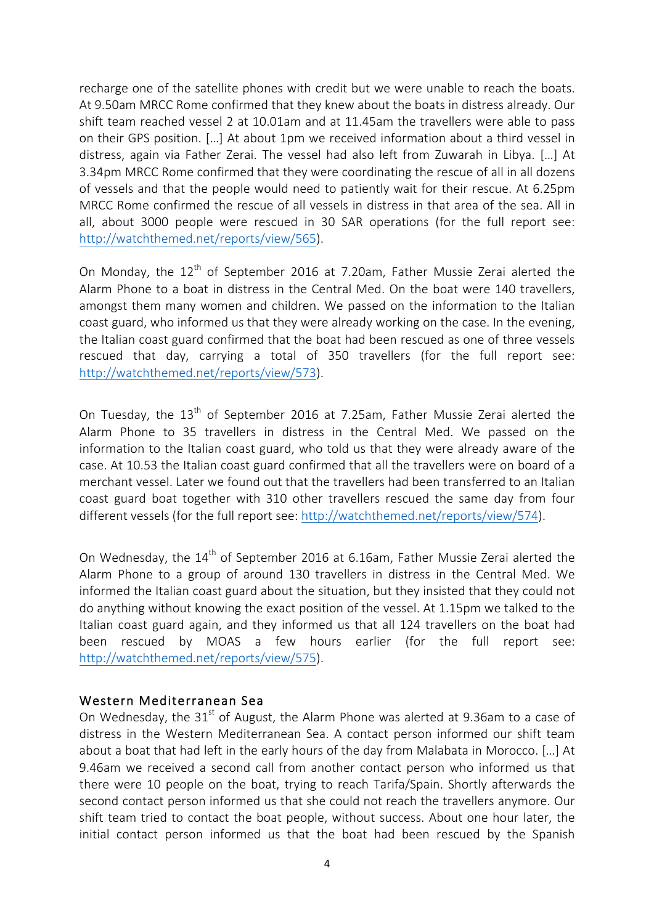recharge one of the satellite phones with credit but we were unable to reach the boats. At 9.50am MRCC Rome confirmed that they knew about the boats in distress already. Our shift team reached vessel 2 at 10.01am and at 11.45am the travellers were able to pass on their GPS position. […] At about 1pm we received information about a third vessel in distress, again via Father Zerai. The vessel had also left from Zuwarah in Libya. […] At 3.34pm MRCC Rome confirmed that they were coordinating the rescue of all in all dozens of vessels and that the people would need to patiently wait for their rescue. At 6.25pm MRCC Rome confirmed the rescue of all vessels in distress in that area of the sea. All in all, about 3000 people were rescued in 30 SAR operations (for the full report see: http://watchthemed.net/reports/view/565).

On Monday, the  $12<sup>th</sup>$  of September 2016 at 7.20am, Father Mussie Zerai alerted the Alarm Phone to a boat in distress in the Central Med. On the boat were 140 travellers, amongst them many women and children. We passed on the information to the Italian coast guard, who informed us that they were already working on the case. In the evening, the Italian coast guard confirmed that the boat had been rescued as one of three vessels rescued that day, carrying a total of 350 travellers (for the full report see: http://watchthemed.net/reports/view/573).

On Tuesday, the  $13<sup>th</sup>$  of September 2016 at 7.25am, Father Mussie Zerai alerted the Alarm Phone to 35 travellers in distress in the Central Med. We passed on the information to the Italian coast guard, who told us that they were already aware of the case. At 10.53 the Italian coast guard confirmed that all the travellers were on board of a merchant vessel. Later we found out that the travellers had been transferred to an Italian coast guard boat together with 310 other travellers rescued the same day from four different vessels (for the full report see: http://watchthemed.net/reports/view/574).

On Wednesday, the  $14<sup>th</sup>$  of September 2016 at 6.16am, Father Mussie Zerai alerted the Alarm Phone to a group of around 130 travellers in distress in the Central Med. We informed the Italian coast guard about the situation, but they insisted that they could not do anything without knowing the exact position of the vessel. At 1.15pm we talked to the Italian coast guard again, and they informed us that all 124 travellers on the boat had been rescued by MOAS a few hours earlier (for the full report see: http://watchthemed.net/reports/view/575).

#### Western Mediterranean Sea

On Wednesday, the  $31<sup>st</sup>$  of August, the Alarm Phone was alerted at 9.36am to a case of distress in the Western Mediterranean Sea. A contact person informed our shift team about a boat that had left in the early hours of the day from Malabata in Morocco. […] At 9.46am we received a second call from another contact person who informed us that there were 10 people on the boat, trying to reach Tarifa/Spain. Shortly afterwards the second contact person informed us that she could not reach the travellers anymore. Our shift team tried to contact the boat people, without success. About one hour later, the initial contact person informed us that the boat had been rescued by the Spanish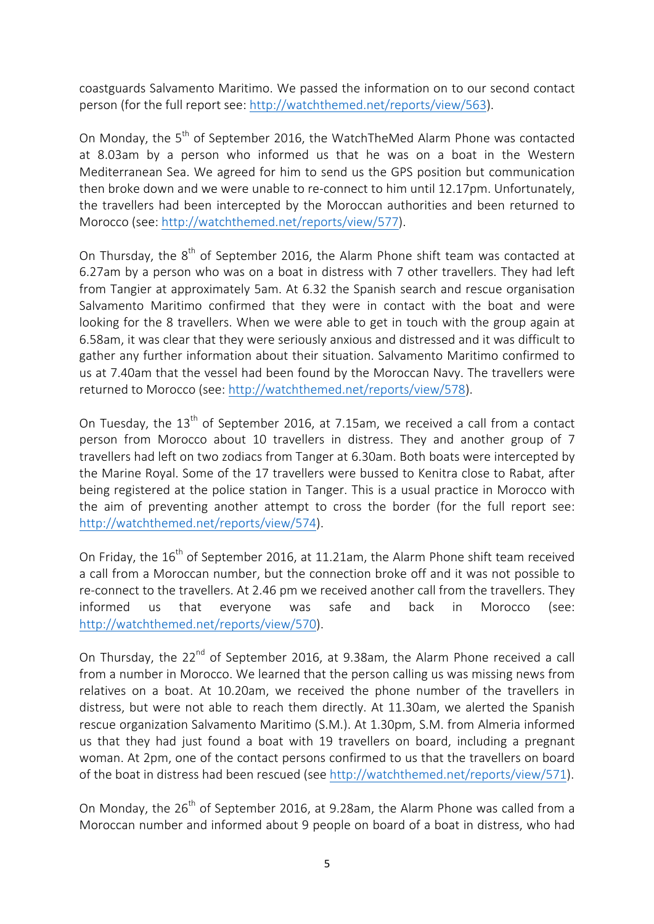coastguards Salvamento Maritimo. We passed the information on to our second contact person (for the full report see: http://watchthemed.net/reports/view/563).

On Monday, the 5<sup>th</sup> of September 2016, the WatchTheMed Alarm Phone was contacted at 8.03am by a person who informed us that he was on a boat in the Western Mediterranean Sea. We agreed for him to send us the GPS position but communication then broke down and we were unable to re-connect to him until 12.17pm. Unfortunately, the travellers had been intercepted by the Moroccan authorities and been returned to Morocco (see: http://watchthemed.net/reports/view/577).

On Thursday, the  $8<sup>th</sup>$  of September 2016, the Alarm Phone shift team was contacted at 6.27am by a person who was on a boat in distress with 7 other travellers. They had left from Tangier at approximately 5am. At 6.32 the Spanish search and rescue organisation Salvamento Maritimo confirmed that they were in contact with the boat and were looking for the 8 travellers. When we were able to get in touch with the group again at 6.58am, it was clear that they were seriously anxious and distressed and it was difficult to gather any further information about their situation. Salvamento Maritimo confirmed to us at 7.40am that the vessel had been found by the Moroccan Navy. The travellers were returned to Morocco (see: http://watchthemed.net/reports/view/578).

On Tuesday, the  $13<sup>th</sup>$  of September 2016, at 7.15am, we received a call from a contact person from Morocco about 10 travellers in distress. They and another group of 7 travellers had left on two zodiacs from Tanger at 6.30am. Both boats were intercepted by the Marine Royal. Some of the 17 travellers were bussed to Kenitra close to Rabat, after being registered at the police station in Tanger. This is a usual practice in Morocco with the aim of preventing another attempt to cross the border (for the full report see: http://watchthemed.net/reports/view/574).

On Friday, the  $16<sup>th</sup>$  of September 2016, at 11.21am, the Alarm Phone shift team received a call from a Moroccan number, but the connection broke off and it was not possible to re-connect to the travellers. At 2.46 pm we received another call from the travellers. They informed us that everyone was safe and back in Morocco (see: http://watchthemed.net/reports/view/570).

On Thursday, the 22<sup>nd</sup> of September 2016, at 9.38am, the Alarm Phone received a call from a number in Morocco. We learned that the person calling us was missing news from relatives on a boat. At 10.20am, we received the phone number of the travellers in distress, but were not able to reach them directly. At 11.30am, we alerted the Spanish rescue organization Salvamento Maritimo (S.M.). At 1.30pm, S.M. from Almeria informed us that they had just found a boat with 19 travellers on board, including a pregnant woman. At 2pm, one of the contact persons confirmed to us that the travellers on board of the boat in distress had been rescued (see http://watchthemed.net/reports/view/571).

On Monday, the  $26^{th}$  of September 2016, at 9.28am, the Alarm Phone was called from a Moroccan number and informed about 9 people on board of a boat in distress, who had